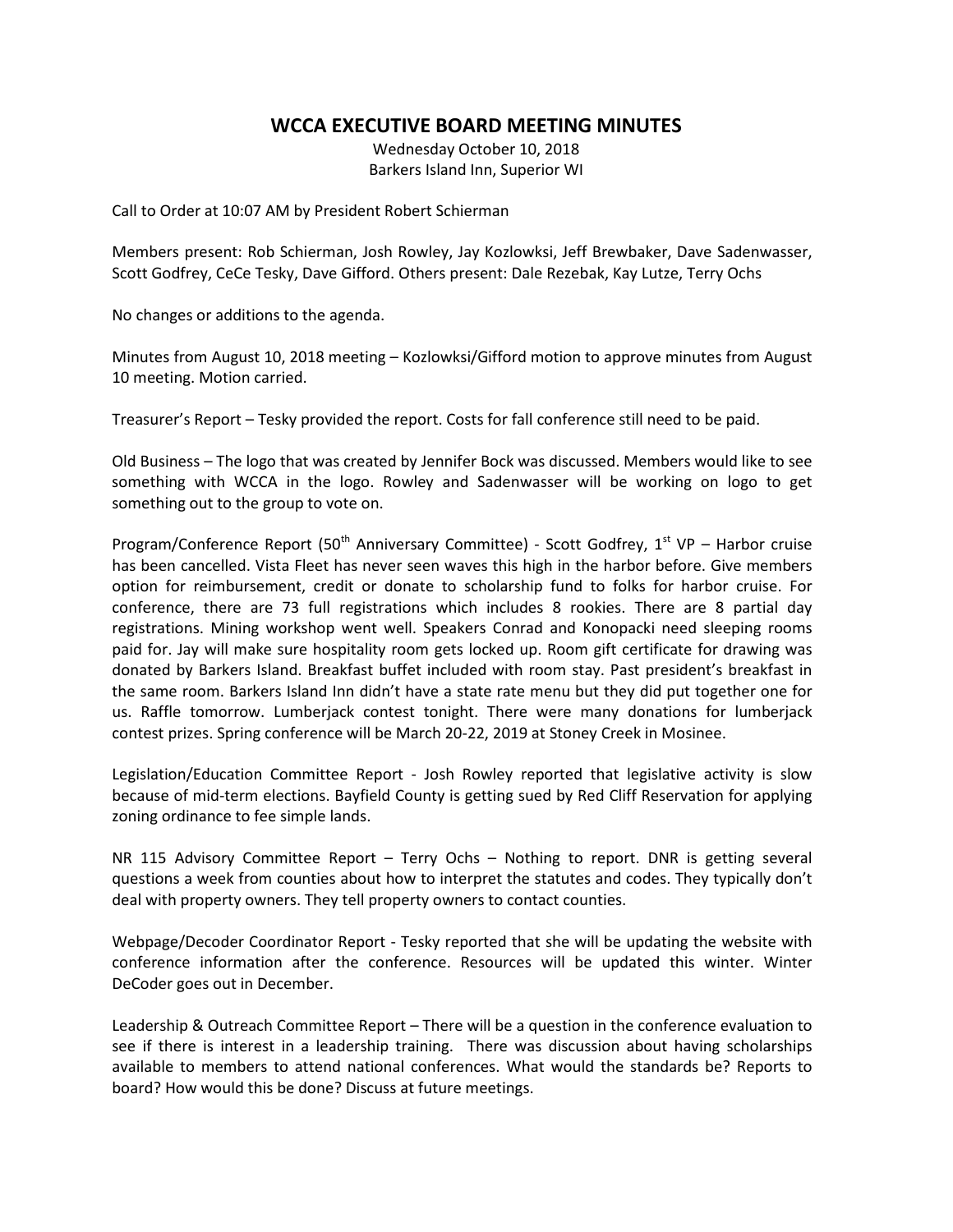## **WCCA EXECUTIVE BOARD MEETING MINUTES**

Wednesday October 10, 2018 Barkers Island Inn, Superior WI

Call to Order at 10:07 AM by President Robert Schierman

Members present: Rob Schierman, Josh Rowley, Jay Kozlowksi, Jeff Brewbaker, Dave Sadenwasser, Scott Godfrey, CeCe Tesky, Dave Gifford. Others present: Dale Rezebak, Kay Lutze, Terry Ochs

No changes or additions to the agenda.

Minutes from August 10, 2018 meeting – Kozlowksi/Gifford motion to approve minutes from August 10 meeting. Motion carried.

Treasurer's Report – Tesky provided the report. Costs for fall conference still need to be paid.

Old Business – The logo that was created by Jennifer Bock was discussed. Members would like to see something with WCCA in the logo. Rowley and Sadenwasser will be working on logo to get something out to the group to vote on.

Program/Conference Report (50<sup>th</sup> Anniversary Committee) - Scott Godfrey, 1<sup>st</sup> VP – Harbor cruise has been cancelled. Vista Fleet has never seen waves this high in the harbor before. Give members option for reimbursement, credit or donate to scholarship fund to folks for harbor cruise. For conference, there are 73 full registrations which includes 8 rookies. There are 8 partial day registrations. Mining workshop went well. Speakers Conrad and Konopacki need sleeping rooms paid for. Jay will make sure hospitality room gets locked up. Room gift certificate for drawing was donated by Barkers Island. Breakfast buffet included with room stay. Past president's breakfast in the same room. Barkers Island Inn didn't have a state rate menu but they did put together one for us. Raffle tomorrow. Lumberjack contest tonight. There were many donations for lumberjack contest prizes. Spring conference will be March 20-22, 2019 at Stoney Creek in Mosinee.

Legislation/Education Committee Report - Josh Rowley reported that legislative activity is slow because of mid-term elections. Bayfield County is getting sued by Red Cliff Reservation for applying zoning ordinance to fee simple lands.

NR 115 Advisory Committee Report – Terry Ochs – Nothing to report. DNR is getting several questions a week from counties about how to interpret the statutes and codes. They typically don't deal with property owners. They tell property owners to contact counties.

Webpage/Decoder Coordinator Report - Tesky reported that she will be updating the website with conference information after the conference. Resources will be updated this winter. Winter DeCoder goes out in December.

Leadership & Outreach Committee Report – There will be a question in the conference evaluation to see if there is interest in a leadership training. There was discussion about having scholarships available to members to attend national conferences. What would the standards be? Reports to board? How would this be done? Discuss at future meetings.